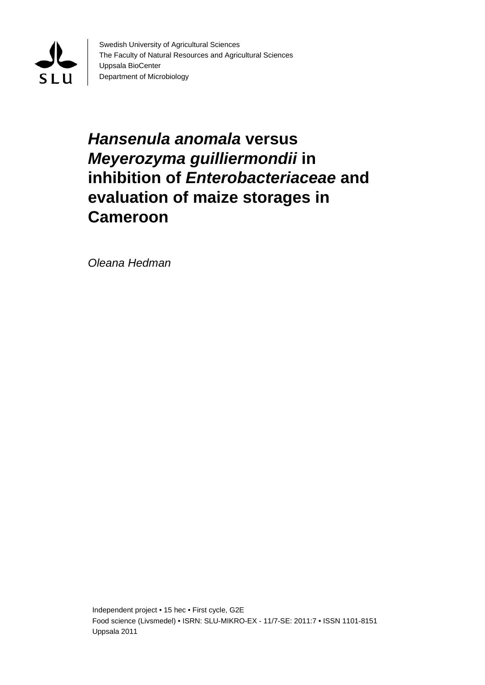

Swedish University of Agricultural Sciences The Faculty of Natural Resources and Agricultural Sciences Uppsala BioCenter Department of Microbiology

# *Hansenula anomala* **versus**  *Meyerozyma guilliermondii* **in inhibition of** *Enterobacteriaceae* **and evaluation of maize storages in Cameroon**

*Oleana Hedman*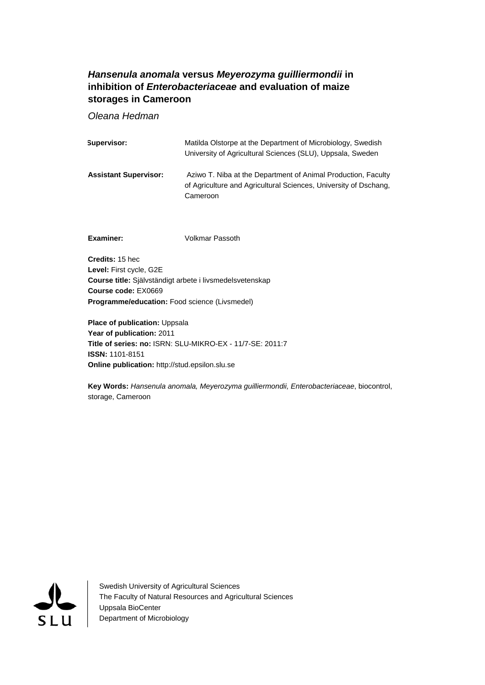## *Hansenula anomala* **versus** *Meyerozyma guilliermondii* **in inhibition of** *Enterobacteriaceae* **and evaluation of maize storages in Cameroon**

*Oleana Hedman* 

| Supervisor:                  | Matilda Olstorpe at the Department of Microbiology, Swedish<br>University of Agricultural Sciences (SLU), Uppsala, Sweden                     |
|------------------------------|-----------------------------------------------------------------------------------------------------------------------------------------------|
| <b>Assistant Supervisor:</b> | Aziwo T. Niba at the Department of Animal Production, Faculty<br>of Agriculture and Agricultural Sciences, University of Dschang,<br>Cameroon |
| Examiner:                    | Volkmar Passoth                                                                                                                               |

**Credits:** 15 hec **Level:** First cycle, G2E **Course title:** Självständigt arbete i livsmedelsvetenskap **Course code:** EX0669 **Programme/education:** Food science (Livsmedel)

**Place of publication: Uppsala Year of publication:** 2011 **Title of series: no:** ISRN: SLU-MIKRO-EX - 11/7-SE: 2011:7 **ISSN:** 1101-8151 **Online publication:** http://stud.epsilon.slu.se

**Key Words:** *Hansenula anomala, Meyerozyma guilliermondii, Enterobacteriaceae*, biocontrol, storage, Cameroon



Swedish University of Agricultural Sciences The Faculty of Natural Resources and Agricultural Sciences Uppsala BioCenter Department of Microbiology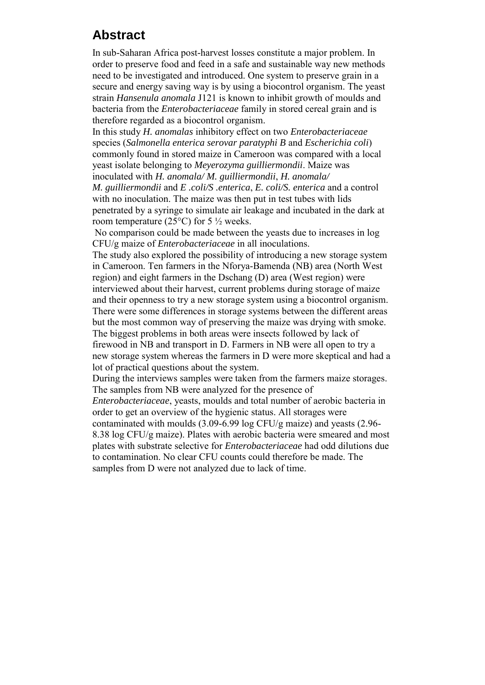## **Abstract**

In sub-Saharan Africa post-harvest losses constitute a major problem. In order to preserve food and feed in a safe and sustainable way new methods need to be investigated and introduced. One system to preserve grain in a secure and energy saving way is by using a biocontrol organism. The yeast strain *Hansenula anomala* J121 is known to inhibit growth of moulds and bacteria from the *Enterobacteriaceae* family in stored cereal grain and is therefore regarded as a biocontrol organism.

In this study *H. anomalas* inhibitory effect on two *Enterobacteriaceae* species (*Salmonella enterica serovar paratyphi B* and *Escherichia coli*) commonly found in stored maize in Cameroon was compared with a local yeast isolate belonging to *Meyerozyma guilliermondii*. Maize was inoculated with *H. anomala/ M. guilliermondii*, *H. anomala/ M. guilliermondii* and *E .coli/S .enterica*, *E. coli/S. enterica* and a control

with no inoculation. The maize was then put in test tubes with lids penetrated by a syringe to simulate air leakage and incubated in the dark at room temperature (25 $\degree$ C) for 5  $\frac{1}{2}$  weeks.

No comparison could be made between the yeasts due to increases in log CFU/g maize of *Enterobacteriaceae* in all inoculations.

The study also explored the possibility of introducing a new storage system in Cameroon. Ten farmers in the Nforya-Bamenda (NB) area (North West region) and eight farmers in the Dschang (D) area (West region) were interviewed about their harvest, current problems during storage of maize and their openness to try a new storage system using a biocontrol organism. There were some differences in storage systems between the different areas but the most common way of preserving the maize was drying with smoke. The biggest problems in both areas were insects followed by lack of firewood in NB and transport in D. Farmers in NB were all open to try a new storage system whereas the farmers in D were more skeptical and had a lot of practical questions about the system.

During the interviews samples were taken from the farmers maize storages. The samples from NB were analyzed for the presence of

*Enterobacteriaceae*, yeasts, moulds and total number of aerobic bacteria in order to get an overview of the hygienic status. All storages were

contaminated with moulds (3.09-6.99 log CFU/g maize) and yeasts (2.96- 8.38 log CFU/g maize). Plates with aerobic bacteria were smeared and most plates with substrate selective for *Enterobacteriaceae* had odd dilutions due to contamination. No clear CFU counts could therefore be made. The samples from D were not analyzed due to lack of time.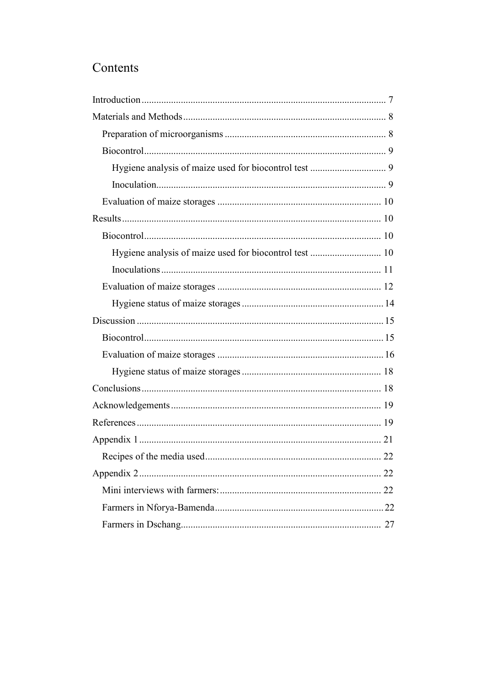# Contents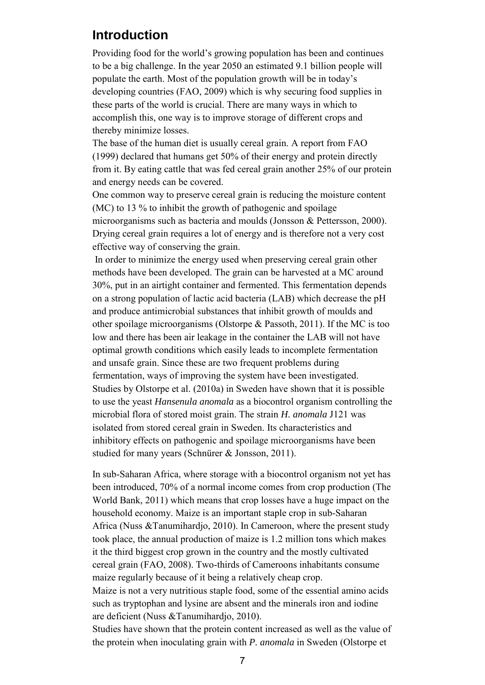## <span id="page-8-0"></span>**Introduction**

Providing food for the world's growing population has been and continues to be a big challenge. In the year 2050 an estimated 9.1 billion people will populate the earth. Most of the population growth will be in today's developing countries (FAO, 2009) which is why securing food supplies in these parts of the world is crucial. There are many ways in which to accomplish this, one way is to improve storage of different crops and thereby minimize losses.

The base of the human diet is usually cereal grain. A report from FAO (1999) declared that humans get 50% of their energy and protein directly from it. By eating cattle that was fed cereal grain another 25% of our protein and energy needs can be covered.

One common way to preserve cereal grain is reducing the moisture content (MC) to 13 % to inhibit the growth of pathogenic and spoilage microorganisms such as bacteria and moulds (Jonsson & Pettersson, 2000). Drying cereal grain requires a lot of energy and is therefore not a very cost effective way of conserving the grain.

 In order to minimize the energy used when preserving cereal grain other methods have been developed. The grain can be harvested at a MC around 30%, put in an airtight container and fermented. This fermentation depends on a strong population of lactic acid bacteria (LAB) which decrease the pH and produce antimicrobial substances that inhibit growth of moulds and other spoilage microorganisms (Olstorpe & Passoth, 2011). If the MC is too low and there has been air leakage in the container the LAB will not have optimal growth conditions which easily leads to incomplete fermentation and unsafe grain. Since these are two frequent problems during fermentation, ways of improving the system have been investigated. Studies by Olstorpe et al. (2010a) in Sweden have shown that it is possible to use the yeast *Hansenula anomala* as a biocontrol organism controlling the microbial flora of stored moist grain. The strain *H. anomala* J121 was isolated from stored cereal grain in Sweden. Its characteristics and inhibitory effects on pathogenic and spoilage microorganisms have been studied for many years (Schnürer & Jonsson, 2011).

In sub-Saharan Africa, where storage with a biocontrol organism not yet has been introduced, 70% of a normal income comes from crop production (The World Bank, 2011) which means that crop losses have a huge impact on the household economy. Maize is an important staple crop in sub-Saharan Africa (Nuss &Tanumihardjo, 2010). In Cameroon, where the present study took place, the annual production of maize is 1.2 million tons which makes it the third biggest crop grown in the country and the mostly cultivated cereal grain (FAO, 2008). Two-thirds of Cameroons inhabitants consume maize regularly because of it being a relatively cheap crop.

Maize is not a very nutritious staple food, some of the essential amino acids such as tryptophan and lysine are absent and the minerals iron and iodine are deficient (Nuss &Tanumihardjo, 2010).

Studies have shown that the protein content increased as well as the value of the protein when inoculating grain with *P. anomala* in Sweden (Olstorpe et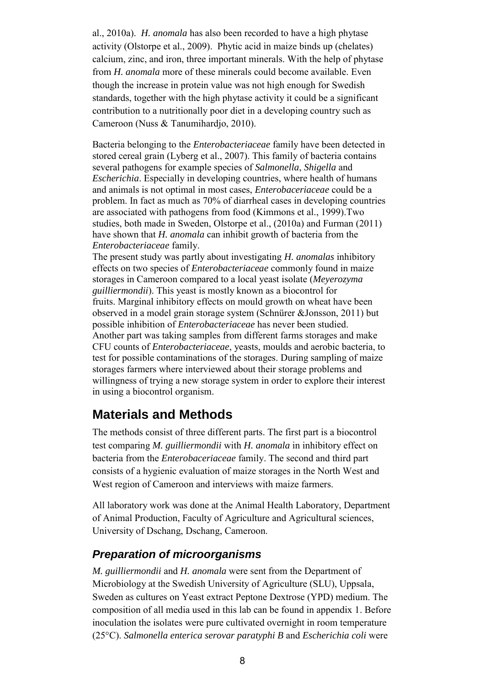al., 2010a). *H. anomala* has also been recorded to have a high phytase activity (Olstorpe et al., 2009). Phytic acid in maize binds up (chelates) calcium, zinc, and iron, three important minerals. With the help of phytase from *H. anomala* more of these minerals could become available. Even though the increase in protein value was not high enough for Swedish standards, together with the high phytase activity it could be a significant contribution to a nutritionally poor diet in a developing country such as Cameroon (Nuss & Tanumihardjo, 2010).

Bacteria belonging to the *Enterobacteriaceae* family have been detected in stored cereal grain (Lyberg et al., 2007). This family of bacteria contains several pathogens for example species of *Salmonella*, *Shigella* and *Escherichia*. Especially in developing countries, where health of humans and animals is not optimal in most cases, *Enterobaceriaceae* could be a problem. In fact as much as 70% of diarrheal cases in developing countries are associated with pathogens from food (Kimmons et al., 1999).Two studies, both made in Sweden, Olstorpe et al., (2010a) and Furman (2011) have shown that *H. anomala* can inhibit growth of bacteria from the *Enterobacteriaceae* family.

The present study was partly about investigating *H. anomalas* inhibitory effects on two species of *Enterobacteriaceae* commonly found in maize storages in Cameroon compared to a local yeast isolate (*Meyerozyma guilliermondii*). This yeast is mostly known as a biocontrol for fruits. Marginal inhibitory effects on mould growth on wheat have been observed in a model grain storage system (Schnürer &Jonsson, 2011) but possible inhibition of *Enterobacteriaceae* has never been studied. Another part was taking samples from different farms storages and make CFU counts of *Enterobacteriaceae*, yeasts, moulds and aerobic bacteria, to test for possible contaminations of the storages. During sampling of maize storages farmers where interviewed about their storage problems and willingness of trying a new storage system in order to explore their interest in using a biocontrol organism.

## <span id="page-9-0"></span>**Materials and Methods**

The methods consist of three different parts. The first part is a biocontrol test comparing *M. guilliermondii* with *H. anomala* in inhibitory effect on bacteria from the *Enterobaceriaceae* family. The second and third part consists of a hygienic evaluation of maize storages in the North West and West region of Cameroon and interviews with maize farmers.

All laboratory work was done at the Animal Health Laboratory, Department of Animal Production, Faculty of Agriculture and Agricultural sciences, University of Dschang, Dschang, Cameroon.

## <span id="page-9-1"></span>*Preparation of microorganisms*

*M. guilliermondii* and *H. anomala* were sent from the Department of Microbiology at the Swedish University of Agriculture (SLU), Uppsala, Sweden as cultures on Yeast extract Peptone Dextrose (YPD) medium. The composition of all media used in this lab can be found in appendix 1. Before inoculation the isolates were pure cultivated overnight in room temperature (25°C). *Salmonella enterica serovar paratyphi B* and *Escherichia coli* were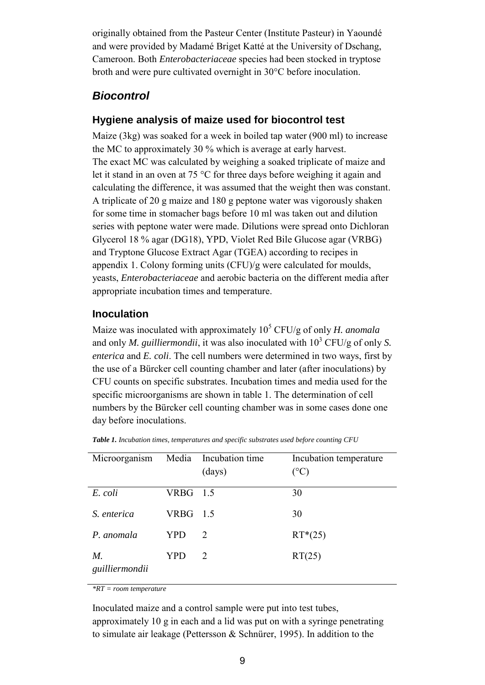originally obtained from the Pasteur Center (Institute Pasteur) in Yaoundé and were provided by Madamé Briget Katté at the University of Dschang, Cameroon. Both *Enterobacteriaceae* species had been stocked in tryptose broth and were pure cultivated overnight in 30°C before inoculation.

## <span id="page-10-0"></span>*Biocontrol*

## <span id="page-10-1"></span>**Hygiene analysis of maize used for biocontrol test**

Maize (3kg) was soaked for a week in boiled tap water (900 ml) to increase the MC to approximately 30 % which is average at early harvest. The exact MC was calculated by weighing a soaked triplicate of maize and let it stand in an oven at 75 °C for three days before weighing it again and calculating the difference, it was assumed that the weight then was constant. A triplicate of 20 g maize and 180 g peptone water was vigorously shaken for some time in stomacher bags before 10 ml was taken out and dilution series with peptone water were made. Dilutions were spread onto Dichloran Glycerol 18 % agar (DG18), YPD, Violet Red Bile Glucose agar (VRBG) and Tryptone Glucose Extract Agar (TGEA) according to recipes in appendix 1. Colony forming units (CFU)/g were calculated for moulds, yeasts, *Enterobacteriaceae* and aerobic bacteria on the different media after appropriate incubation times and temperature.

## <span id="page-10-2"></span>**Inoculation**

Maize was inoculated with approximately 10<sup>5</sup> CFU/g of only *H. anomala* and only *M. guilliermondii*, it was also inoculated with  $10^3$  CFU/g of only *S*. *enterica* and *E. coli*. The cell numbers were determined in two ways, first by the use of a Bürcker cell counting chamber and later (after inoculations) by CFU counts on specific substrates. Incubation times and media used for the specific microorganisms are shown in table 1. The determination of cell numbers by the Bürcker cell counting chamber was in some cases done one day before inoculations.

| Microorganism        |            | Media Incubation time<br>(days) | Incubation temperature<br>$(^\circ C)$ |
|----------------------|------------|---------------------------------|----------------------------------------|
| E. coli              | VRBG 1.5   |                                 | 30                                     |
| S. enterica          | $VRBG$ 1.5 |                                 | 30                                     |
| P. anomala           | YPD        | 2                               | $RT*(25)$                              |
| M.<br>guilliermondii | YPD        | 2                               | RT(25)                                 |

*Table 1. Incubation times, temperatures and specific substrates used before counting CFU* 

*\*RT = room temperature* 

Inoculated maize and a control sample were put into test tubes, approximately 10 g in each and a lid was put on with a syringe penetrating to simulate air leakage (Pettersson & Schnürer, 1995). In addition to the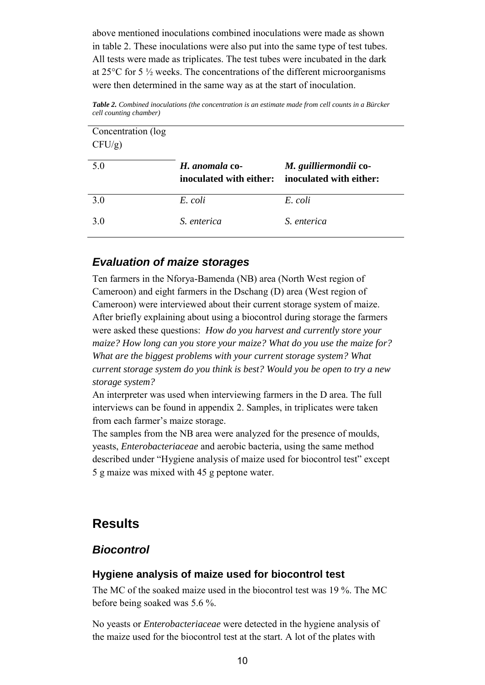above mentioned inoculations combined inoculations were made as shown in table 2. These inoculations were also put into the same type of test tubes. All tests were made as triplicates. The test tubes were incubated in the dark at 25°C for 5 ½ weeks. The concentrations of the different microorganisms were then determined in the same way as at the start of inoculation.

*Table 2. Combined inoculations (the concentration is an estimate made from cell counts in a Bürcker cell counting chamber)* 

| Concentration (log<br>$CFU/g$ ) |                                           |                                                  |
|---------------------------------|-------------------------------------------|--------------------------------------------------|
| 5.0                             | H. anomala co-<br>inoculated with either: | M. guilliermondii co-<br>inoculated with either: |
| 3.0                             | E. coli                                   | E. coli                                          |
| 3.0                             | S. enterica                               | S. enterica                                      |

## <span id="page-11-0"></span>*Evaluation of maize storages*

Ten farmers in the Nforya-Bamenda (NB) area (North West region of Cameroon) and eight farmers in the Dschang (D) area (West region of Cameroon) were interviewed about their current storage system of maize. After briefly explaining about using a biocontrol during storage the farmers were asked these questions: *How do you harvest and currently store your maize? How long can you store your maize? What do you use the maize for? What are the biggest problems with your current storage system? What current storage system do you think is best? Would you be open to try a new storage system?*

An interpreter was used when interviewing farmers in the D area. The full interviews can be found in appendix 2. Samples, in triplicates were taken from each farmer's maize storage.

The samples from the NB area were analyzed for the presence of moulds, yeasts, *Enterobacteriaceae* and aerobic bacteria, using the same method described under "Hygiene analysis of maize used for biocontrol test" except 5 g maize was mixed with 45 g peptone water.

## <span id="page-11-1"></span>**Results**

## <span id="page-11-2"></span>*Biocontrol*

## <span id="page-11-3"></span>**Hygiene analysis of maize used for biocontrol test**

The MC of the soaked maize used in the biocontrol test was 19 %. The MC before being soaked was 5.6 %.

No yeasts or *Enterobacteriaceae* were detected in the hygiene analysis of the maize used for the biocontrol test at the start. A lot of the plates with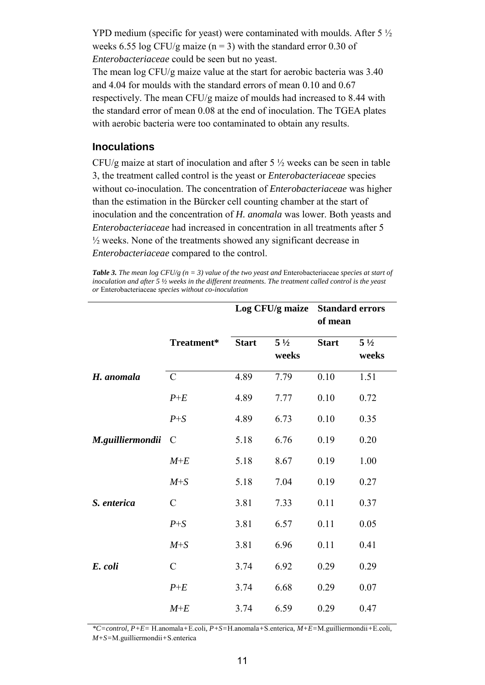YPD medium (specific for yeast) were contaminated with moulds. After 5 ½ weeks 6.55 log CFU/g maize ( $n = 3$ ) with the standard error 0.30 of *Enterobacteriaceae* could be seen but no yeast.

The mean log CFU/g maize value at the start for aerobic bacteria was 3.40 and 4.04 for moulds with the standard errors of mean 0.10 and 0.67 respectively. The mean CFU/g maize of moulds had increased to 8.44 with the standard error of mean 0.08 at the end of inoculation. The TGEA plates with aerobic bacteria were too contaminated to obtain any results.

## <span id="page-12-0"></span>**Inoculations**

CFU/g maize at start of inoculation and after 5 ½ weeks can be seen in table 3, the treatment called control is the yeast or *Enterobacteriaceae* species without co-inoculation. The concentration of *Enterobacteriaceae* was higher than the estimation in the Bürcker cell counting chamber at the start of inoculation and the concentration of *H. anomala* was lower. Both yeasts and *Enterobacteriaceae* had increased in concentration in all treatments after 5 ½ weeks. None of the treatments showed any significant decrease in *Enterobacteriaceae* compared to the control.

*Table 3. The mean log CFU/g (n = 3) value of the two yeast and* Enterobacteriaceae *species at start of inoculation and after 5 ½ weeks in the different treatments. The treatment called control is the yeast or* Enterobacteriaceae *species without co-inoculation* 

|                  |                | Log CFU/g maize |                         | <b>Standard errors</b><br>of mean |                         |
|------------------|----------------|-----------------|-------------------------|-----------------------------------|-------------------------|
|                  | Treatment*     | <b>Start</b>    | $5\frac{1}{2}$<br>weeks | <b>Start</b>                      | $5\frac{1}{2}$<br>weeks |
| H. anomala       | $\mathcal{C}$  | 4.89            | 7.79                    | 0.10                              | 1.51                    |
|                  | $P+E$          | 4.89            | 7.77                    | 0.10                              | 0.72                    |
|                  | $P + S$        | 4.89            | 6.73                    | 0.10                              | 0.35                    |
| M.guilliermondii | <sup>-</sup> C | 5.18            | 6.76                    | 0.19                              | 0.20                    |
|                  | $M+E$          | 5.18            | 8.67                    | 0.19                              | 1.00                    |
|                  | $M + S$        | 5.18            | 7.04                    | 0.19                              | 0.27                    |
| S. enterica      | $\overline{C}$ | 3.81            | 7.33                    | 0.11                              | 0.37                    |
|                  | $P + S$        | 3.81            | 6.57                    | 0.11                              | 0.05                    |
|                  | $M+S$          | 3.81            | 6.96                    | 0.11                              | 0.41                    |
| E. coli          | $\overline{C}$ | 3.74            | 6.92                    | 0.29                              | 0.29                    |
|                  | $P+E$          | 3.74            | 6.68                    | 0.29                              | 0.07                    |
|                  | $M+E$          | 3.74            | 6.59                    | 0.29                              | 0.47                    |

*\*C=control, P+E=* H.anomala*+*E.coli*, P+S=*H.anomala*+*S.enterica*, M+E=*M.guilliermondii*+*E.coli*, M+S=*M.guilliermondii*+*S.enterica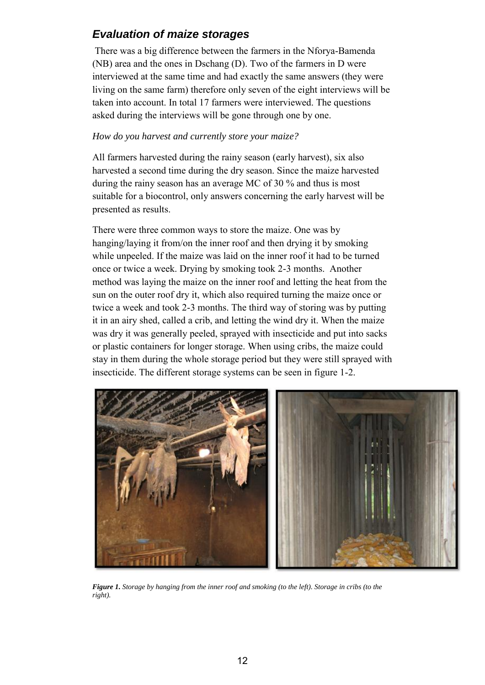## <span id="page-13-0"></span>*Evaluation of maize storages*

There was a big difference between the farmers in the Nforya-Bamenda (NB) area and the ones in Dschang (D). Two of the farmers in D were interviewed at the same time and had exactly the same answers (they were living on the same farm) therefore only seven of the eight interviews will be taken into account. In total 17 farmers were interviewed. The questions asked during the interviews will be gone through one by one.

## *How do you harvest and currently store your maize?*

All farmers harvested during the rainy season (early harvest), six also harvested a second time during the dry season. Since the maize harvested during the rainy season has an average MC of 30 % and thus is most suitable for a biocontrol, only answers concerning the early harvest will be presented as results.

There were three common ways to store the maize. One was by hanging/laying it from/on the inner roof and then drying it by smoking while unpeeled. If the maize was laid on the inner roof it had to be turned once or twice a week. Drying by smoking took 2-3 months. Another method was laying the maize on the inner roof and letting the heat from the sun on the outer roof dry it, which also required turning the maize once or twice a week and took 2-3 months. The third way of storing was by putting it in an airy shed, called a crib, and letting the wind dry it. When the maize was dry it was generally peeled, sprayed with insecticide and put into sacks or plastic containers for longer storage. When using cribs, the maize could stay in them during the whole storage period but they were still sprayed with insecticide. The different storage systems can be seen in figure 1-2.



*Figure 1. Storage by hanging from the inner roof and smoking (to the left). Storage in cribs (to the right).*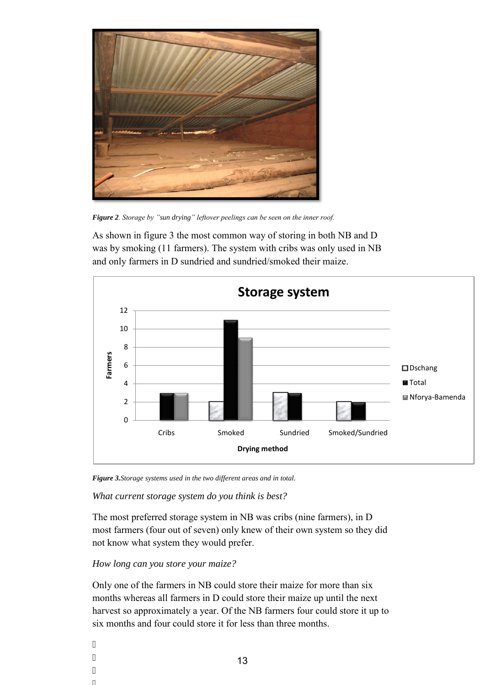

*Figure 2. Storage by "sun drying" leftover peelings can be seen on the inner roof.*

As shown in figure 3 the most common way of storing in both NB and D was by smoking (11 farmers). The system with cribs was only used in NB and only farmers in D sundried and sundried/smoked their maize.



*Figure 3.Storage systems used in the two different areas and in total.* 

*What current storage system do you think is best?* 

The most preferred storage system in NB was cribs (nine farmers), in D most farmers (four out of seven) only knew of their own system so they did not know what system they would prefer.

### *How long can you store your maize?*

 $\overline{u}$ 

 $\overline{\phantom{a}}$  $\overline{\phantom{a}}$  $^{\prime}$ 

Only one of the farmers in NB could store their maize for more than six months whereas all farmers in D could store their maize up until the next harvest so approximately a year. Of the NB farmers four could store it up to six months and four could store it for less than three months.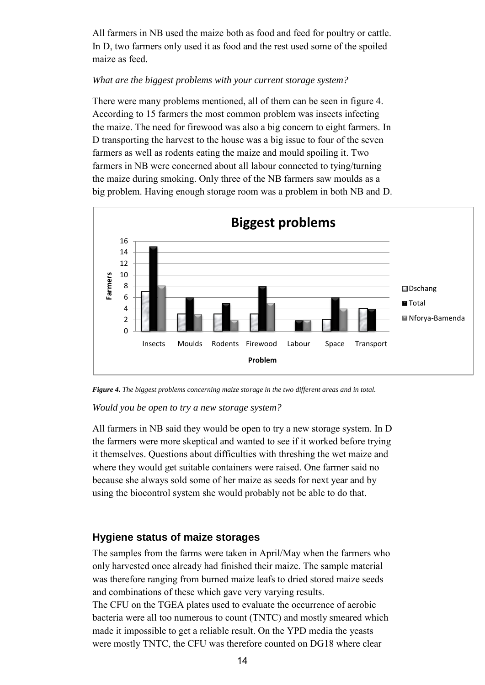All farmers in NB used the maize both as food and feed for poultry or cattle. In D, two farmers only used it as food and the rest used some of the spoiled maize as feed.

## *What are the biggest problems with your current storage system?*

There were many problems mentioned, all of them can be seen in figure 4. According to 15 farmers the most common problem was insects infecting the maize. The need for firewood was also a big concern to eight farmers. In D transporting the harvest to the house was a big issue to four of the seven farmers as well as rodents eating the maize and mould spoiling it. Two farmers in NB were concerned about all labour connected to tying/turning the maize during smoking. Only three of the NB farmers saw moulds as a big problem. Having enough storage room was a problem in both NB and D.



*Figure 4. The biggest problems concerning maize storage in the two different areas and in total.* 

### *Would you be open to try a new storage system?*

All farmers in NB said they would be open to try a new storage system. In D the farmers were more skeptical and wanted to see if it worked before trying it themselves. Questions about difficulties with threshing the wet maize and where they would get suitable containers were raised. One farmer said no because she always sold some of her maize as seeds for next year and by using the biocontrol system she would probably not be able to do that.

## <span id="page-15-0"></span>**Hygiene status of maize storages**

The samples from the farms were taken in April/May when the farmers who only harvested once already had finished their maize. The sample material was therefore ranging from burned maize leafs to dried stored maize seeds and combinations of these which gave very varying results.

The CFU on the TGEA plates used to evaluate the occurrence of aerobic bacteria were all too numerous to count (TNTC) and mostly smeared which made it impossible to get a reliable result. On the YPD media the yeasts were mostly TNTC, the CFU was therefore counted on DG18 where clear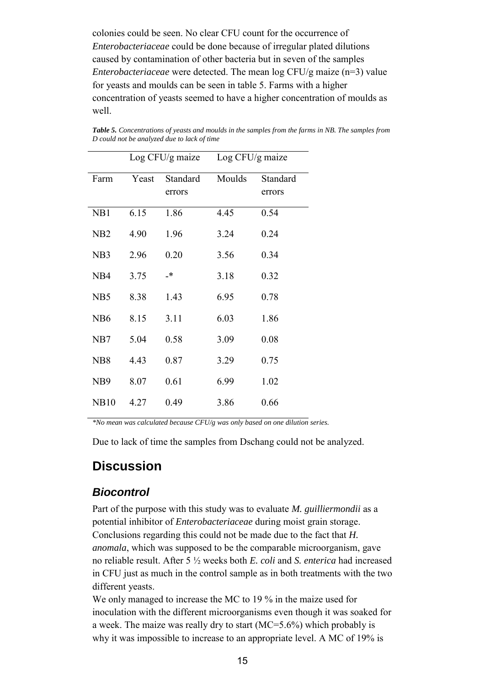colonies could be seen. No clear CFU count for the occurrence of *Enterobacteriaceae* could be done because of irregular plated dilutions caused by contamination of other bacteria but in seven of the samples *Enterobacteriaceae* were detected. The mean log CFU/g maize (n=3) value for yeasts and moulds can be seen in table 5. Farms with a higher concentration of yeasts seemed to have a higher concentration of moulds as well.

|                  | Log CFU/g maize |          | Log CFU/g maize |          |
|------------------|-----------------|----------|-----------------|----------|
| Farm             | Yeast           | Standard | Moulds          | Standard |
|                  |                 | errors   |                 | errors   |
| NB1              | 6.15            | 1.86     | 4.45            | 0.54     |
| N <sub>B2</sub>  | 4.90            | 1.96     | 3.24            | 0.24     |
| NB <sub>3</sub>  | 2.96            | 0.20     | 3.56            | 0.34     |
| N <sub>B4</sub>  | 3.75            | _*       | 3.18            | 0.32     |
| NB <sub>5</sub>  | 8.38            | 1.43     | 6.95            | 0.78     |
| N <sub>B6</sub>  | 8.15            | 3.11     | 6.03            | 1.86     |
| N <sub>B</sub> 7 | 5.04            | 0.58     | 3.09            | 0.08     |
| N <sub>B</sub> 8 | 4.43            | 0.87     | 3.29            | 0.75     |
| N <sub>B</sub> 9 | 8.07            | 0.61     | 6.99            | 1.02     |
| <b>NB10</b>      | 4.27            | 0.49     | 3.86            | 0.66     |

*Table 5. Concentrations of yeasts and moulds in the samples from the farms in NB. The samples from D could not be analyzed due to lack of time* 

*\*No mean was calculated because CFU/g was only based on one dilution series.* 

Due to lack of time the samples from Dschang could not be analyzed.

## <span id="page-16-0"></span>**Discussion**

## <span id="page-16-1"></span>*Biocontrol*

Part of the purpose with this study was to evaluate *M. guilliermondii* as a potential inhibitor of *Enterobacteriaceae* during moist grain storage. Conclusions regarding this could not be made due to the fact that *H. anomala*, which was supposed to be the comparable microorganism, gave no reliable result. After 5 ½ weeks both *E. coli* and *S. enterica* had increased in CFU just as much in the control sample as in both treatments with the two different yeasts.

We only managed to increase the MC to 19 % in the maize used for inoculation with the different microorganisms even though it was soaked for a week. The maize was really dry to start (MC=5.6%) which probably is why it was impossible to increase to an appropriate level. A MC of 19% is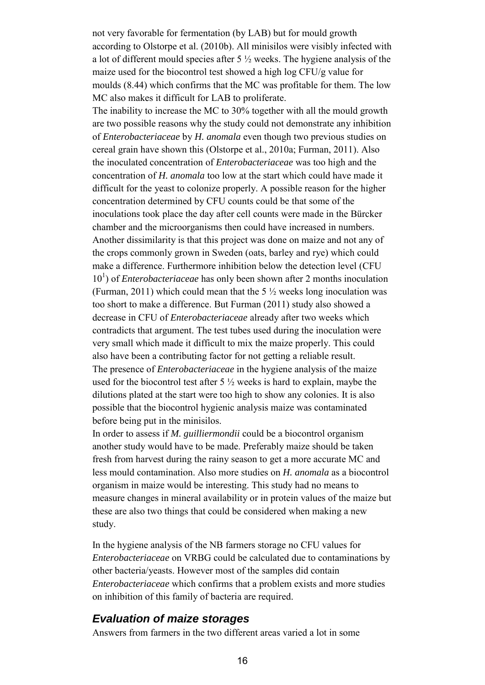not very favorable for fermentation (by LAB) but for mould growth according to Olstorpe et al. (2010b). All minisilos were visibly infected with a lot of different mould species after 5 ½ weeks. The hygiene analysis of the maize used for the biocontrol test showed a high log CFU/g value for moulds (8.44) which confirms that the MC was profitable for them. The low MC also makes it difficult for LAB to proliferate.

The inability to increase the MC to 30% together with all the mould growth are two possible reasons why the study could not demonstrate any inhibition of *Enterobacteriaceae* by *H. anomala* even though two previous studies on cereal grain have shown this (Olstorpe et al., 2010a; Furman, 2011). Also the inoculated concentration of *Enterobacteriaceae* was too high and the concentration of *H. anomala* too low at the start which could have made it difficult for the yeast to colonize properly. A possible reason for the higher concentration determined by CFU counts could be that some of the inoculations took place the day after cell counts were made in the Bürcker chamber and the microorganisms then could have increased in numbers. Another dissimilarity is that this project was done on maize and not any of the crops commonly grown in Sweden (oats, barley and rye) which could make a difference. Furthermore inhibition below the detection level (CFU  $10<sup>1</sup>$ ) of *Enterobacteriaceae* has only been shown after 2 months inoculation (Furman, 2011) which could mean that the 5  $\frac{1}{2}$  weeks long inoculation was too short to make a difference. But Furman (2011) study also showed a decrease in CFU of *Enterobacteriaceae* already after two weeks which contradicts that argument. The test tubes used during the inoculation were very small which made it difficult to mix the maize properly. This could also have been a contributing factor for not getting a reliable result. The presence of *Enterobacteriaceae* in the hygiene analysis of the maize used for the biocontrol test after  $5\frac{1}{2}$  weeks is hard to explain, maybe the dilutions plated at the start were too high to show any colonies. It is also possible that the biocontrol hygienic analysis maize was contaminated before being put in the minisilos.

In order to assess if *M. guilliermondii* could be a biocontrol organism another study would have to be made. Preferably maize should be taken fresh from harvest during the rainy season to get a more accurate MC and less mould contamination. Also more studies on *H. anomala* as a biocontrol organism in maize would be interesting. This study had no means to measure changes in mineral availability or in protein values of the maize but these are also two things that could be considered when making a new study.

In the hygiene analysis of the NB farmers storage no CFU values for *Enterobacteriaceae* on VRBG could be calculated due to contaminations by other bacteria/yeasts. However most of the samples did contain *Enterobacteriaceae* which confirms that a problem exists and more studies on inhibition of this family of bacteria are required.

## <span id="page-17-0"></span>*Evaluation of maize storages*

Answers from farmers in the two different areas varied a lot in some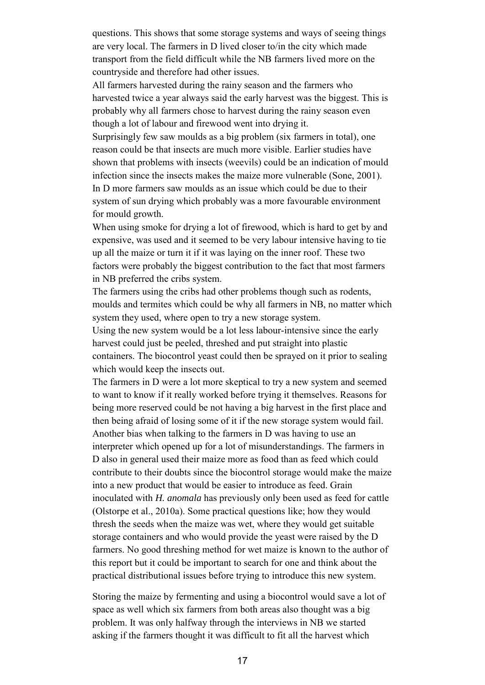questions. This shows that some storage systems and ways of seeing things are very local. The farmers in D lived closer to/in the city which made transport from the field difficult while the NB farmers lived more on the countryside and therefore had other issues.

All farmers harvested during the rainy season and the farmers who harvested twice a year always said the early harvest was the biggest. This is probably why all farmers chose to harvest during the rainy season even though a lot of labour and firewood went into drying it.

Surprisingly few saw moulds as a big problem (six farmers in total), one reason could be that insects are much more visible. Earlier studies have shown that problems with insects (weevils) could be an indication of mould infection since the insects makes the maize more vulnerable (Sone, 2001). In D more farmers saw moulds as an issue which could be due to their system of sun drying which probably was a more favourable environment for mould growth.

When using smoke for drying a lot of firewood, which is hard to get by and expensive, was used and it seemed to be very labour intensive having to tie up all the maize or turn it if it was laying on the inner roof. These two factors were probably the biggest contribution to the fact that most farmers in NB preferred the cribs system.

The farmers using the cribs had other problems though such as rodents, moulds and termites which could be why all farmers in NB, no matter which system they used, where open to try a new storage system.

Using the new system would be a lot less labour-intensive since the early harvest could just be peeled, threshed and put straight into plastic containers. The biocontrol yeast could then be sprayed on it prior to sealing which would keep the insects out.

The farmers in D were a lot more skeptical to try a new system and seemed to want to know if it really worked before trying it themselves. Reasons for being more reserved could be not having a big harvest in the first place and then being afraid of losing some of it if the new storage system would fail. Another bias when talking to the farmers in D was having to use an interpreter which opened up for a lot of misunderstandings. The farmers in D also in general used their maize more as food than as feed which could contribute to their doubts since the biocontrol storage would make the maize into a new product that would be easier to introduce as feed. Grain inoculated with *H. anomala* has previously only been used as feed for cattle (Olstorpe et al., 2010a). Some practical questions like; how they would thresh the seeds when the maize was wet, where they would get suitable storage containers and who would provide the yeast were raised by the D farmers. No good threshing method for wet maize is known to the author of this report but it could be important to search for one and think about the practical distributional issues before trying to introduce this new system.

Storing the maize by fermenting and using a biocontrol would save a lot of space as well which six farmers from both areas also thought was a big problem. It was only halfway through the interviews in NB we started asking if the farmers thought it was difficult to fit all the harvest which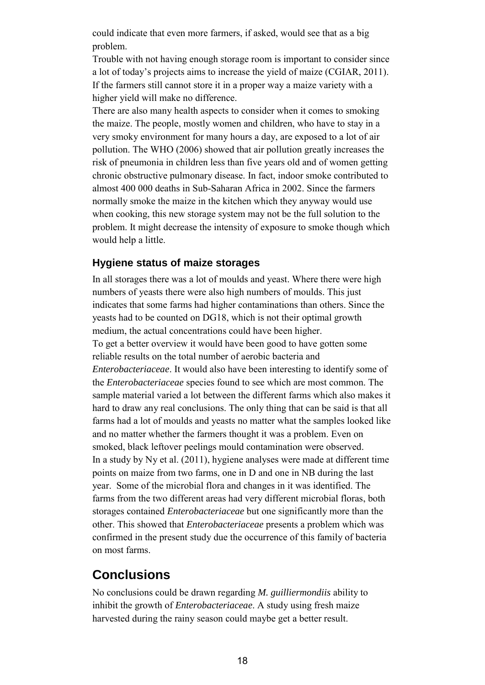could indicate that even more farmers, if asked, would see that as a big problem.

Trouble with not having enough storage room is important to consider since a lot of today's projects aims to increase the yield of maize (CGIAR, 2011). If the farmers still cannot store it in a proper way a maize variety with a higher yield will make no difference.

There are also many health aspects to consider when it comes to smoking the maize. The people, mostly women and children, who have to stay in a very smoky environment for many hours a day, are exposed to a lot of air pollution. The WHO (2006) showed that air pollution greatly increases the risk of pneumonia in children less than five years old and of women getting chronic obstructive pulmonary disease. In fact, indoor smoke contributed to almost 400 000 deaths in Sub-Saharan Africa in 2002. Since the farmers normally smoke the maize in the kitchen which they anyway would use when cooking, this new storage system may not be the full solution to the problem. It might decrease the intensity of exposure to smoke though which would help a little.

## <span id="page-19-0"></span>**Hygiene status of maize storages**

In all storages there was a lot of moulds and yeast. Where there were high numbers of yeasts there were also high numbers of moulds. This just indicates that some farms had higher contaminations than others. Since the yeasts had to be counted on DG18, which is not their optimal growth medium, the actual concentrations could have been higher. To get a better overview it would have been good to have gotten some reliable results on the total number of aerobic bacteria and *Enterobacteriaceae*. It would also have been interesting to identify some of the *Enterobacteriaceae* species found to see which are most common. The sample material varied a lot between the different farms which also makes it hard to draw any real conclusions. The only thing that can be said is that all farms had a lot of moulds and yeasts no matter what the samples looked like and no matter whether the farmers thought it was a problem. Even on smoked, black leftover peelings mould contamination were observed. In a study by Ny et al. (2011), hygiene analyses were made at different time points on maize from two farms, one in D and one in NB during the last year. Some of the microbial flora and changes in it was identified. The farms from the two different areas had very different microbial floras, both storages contained *Enterobacteriaceae* but one significantly more than the other. This showed that *Enterobacteriaceae* presents a problem which was confirmed in the present study due the occurrence of this family of bacteria on most farms.

## <span id="page-19-1"></span>**Conclusions**

No conclusions could be drawn regarding *M. guilliermondiis* ability to inhibit the growth of *Enterobacteriaceae*. A study using fresh maize harvested during the rainy season could maybe get a better result.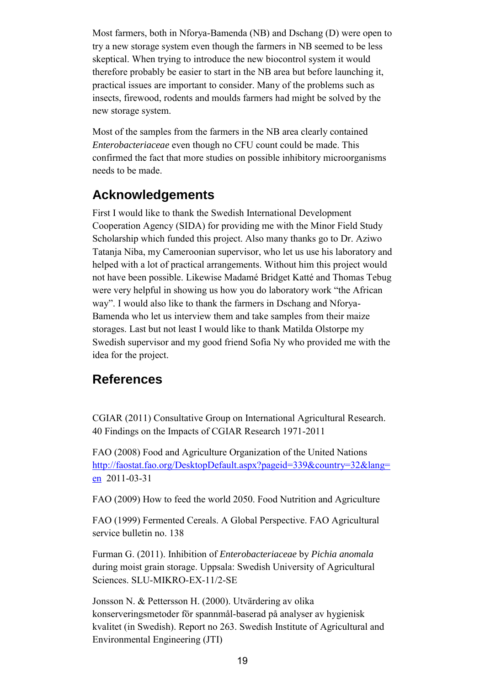Most farmers, both in Nforya-Bamenda (NB) and Dschang (D) were open to try a new storage system even though the farmers in NB seemed to be less skeptical. When trying to introduce the new biocontrol system it would therefore probably be easier to start in the NB area but before launching it, practical issues are important to consider. Many of the problems such as insects, firewood, rodents and moulds farmers had might be solved by the new storage system.

Most of the samples from the farmers in the NB area clearly contained *Enterobacteriaceae* even though no CFU count could be made. This confirmed the fact that more studies on possible inhibitory microorganisms needs to be made.

# <span id="page-20-0"></span>**Acknowledgements**

First I would like to thank the Swedish International Development Cooperation Agency (SIDA) for providing me with the Minor Field Study Scholarship which funded this project. Also many thanks go to Dr. Aziwo Tatanja Niba, my Cameroonian supervisor, who let us use his laboratory and helped with a lot of practical arrangements. Without him this project would not have been possible. Likewise Madamé Bridget Katté and Thomas Tebug were very helpful in showing us how you do laboratory work "the African way". I would also like to thank the farmers in Dschang and Nforya-Bamenda who let us interview them and take samples from their maize storages. Last but not least I would like to thank Matilda Olstorpe my Swedish supervisor and my good friend Sofia Ny who provided me with the idea for the project.

## <span id="page-20-1"></span>**References**

CGIAR (2011) Consultative Group on International Agricultural Research. 40 Findings on the Impacts of CGIAR Research 1971-2011

FAO (2008) Food and Agriculture Organization of the United Nations [http://faostat.fao.org/DesktopDefault.aspx?pageid=339&country=32&lang=](http://faostat.fao.org/DesktopDefault.aspx?pageid=339&country=32&lang=en) [en](http://faostat.fao.org/DesktopDefault.aspx?pageid=339&country=32&lang=en) 2011-03-31

FAO (2009) How to feed the world 2050. Food Nutrition and Agriculture

FAO (1999) Fermented Cereals. A Global Perspective. FAO Agricultural service bulletin no. 138

Furman G. (2011). Inhibition of *Enterobacteriaceae* by *Pichia anomala* during moist grain storage. Uppsala: Swedish University of Agricultural Sciences. SLU-MIKRO-EX-11/2-SE

Jonsson N. & Pettersson H. (2000). Utvärdering av olika konserveringsmetoder för spannmål-baserad på analyser av hygienisk kvalitet (in Swedish). Report no 263. Swedish Institute of Agricultural and Environmental Engineering (JTI)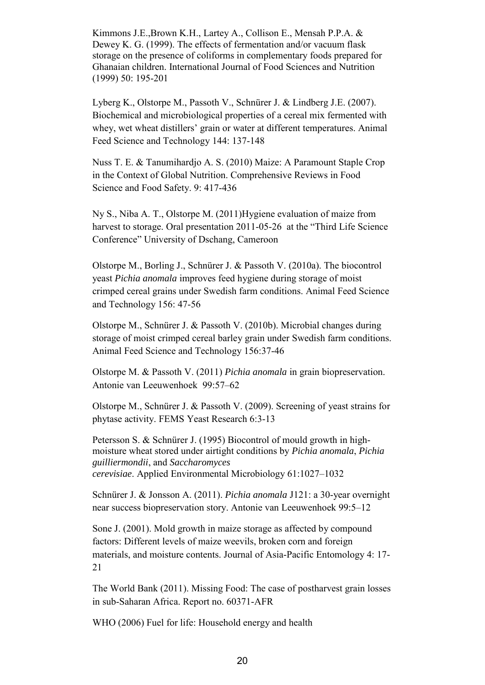Kimmons J.E.,Brown K.H., Lartey A., Collison E., Mensah P.P.A. & Dewey K. G. (1999). The effects of fermentation and/or vacuum flask storage on the presence of coliforms in complementary foods prepared for Ghanaian children. International Journal of Food Sciences and Nutrition (1999) 50: 195-201

Lyberg K., Olstorpe M., Passoth V., Schnürer J. & Lindberg J.E. (2007). Biochemical and microbiological properties of a cereal mix fermented with whey, wet wheat distillers' grain or water at different temperatures. Animal Feed Science and Technology 144: 137-148

Nuss T. E. & Tanumihardjo A. S. (2010) Maize: A Paramount Staple Crop in the Context of Global Nutrition. Comprehensive Reviews in Food Science and Food Safety. 9: 417-436

Ny S., Niba A. T., Olstorpe M. (2011)Hygiene evaluation of maize from harvest to storage. Oral presentation 2011-05-26 at the "Third Life Science" Conference" University of Dschang, Cameroon

Olstorpe M., Borling J., Schnürer J. & Passoth V. (2010a). The biocontrol yeast *Pichia anomala* improves feed hygiene during storage of moist crimped cereal grains under Swedish farm conditions. Animal Feed Science and Technology 156: 47-56

Olstorpe M., Schnürer J. & Passoth V. (2010b). Microbial changes during storage of moist crimped cereal barley grain under Swedish farm conditions. Animal Feed Science and Technology 156:37-46

Olstorpe M. & Passoth V. (2011) *Pichia anomala* in grain biopreservation. Antonie van Leeuwenhoek 99:57–62

Olstorpe M., Schnürer J. & Passoth V. (2009). Screening of yeast strains for phytase activity. FEMS Yeast Research 6:3-13

Petersson S. & Schnürer J. (1995) Biocontrol of mould growth in highmoisture wheat stored under airtight conditions by *Pichia anomala*, *Pichia guilliermondii*, and *Saccharomyces cerevisiae*. Applied Environmental Microbiology 61:1027–1032

Schnürer J. & Jonsson A. (2011). *Pichia anomala* J121: a 30-year overnight near success biopreservation story. Antonie van Leeuwenhoek 99:5–12

Sone J. (2001). Mold growth in maize storage as affected by compound factors: Different levels of maize weevils, broken corn and foreign materials, and moisture contents. Journal of Asia-Pacific Entomology 4: 17- 21

The World Bank (2011). Missing Food: The case of postharvest grain losses in sub-Saharan Africa. Report no. 60371-AFR

WHO (2006) Fuel for life: Household energy and health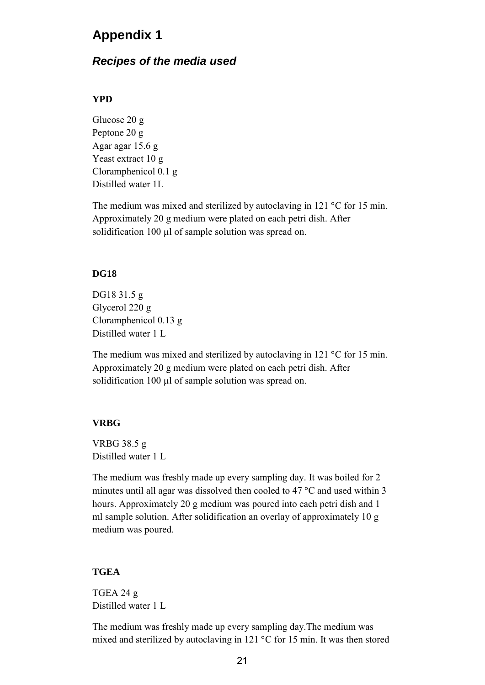## <span id="page-22-0"></span>**Appendix 1**

## <span id="page-22-1"></span>*Recipes of the media used*

#### **YPD**

Glucose 20 g Peptone 20 g Agar agar 15.6 g Yeast extract 10 g Cloramphenicol 0.1 g Distilled water 1L

The medium was mixed and sterilized by autoclaving in 121  $\degree$ C for 15 min. Approximately 20 g medium were plated on each petri dish. After solidification 100 µl of sample solution was spread on.

#### **DG18**

DG18 31.5 g Glycerol 220 g Cloramphenicol 0.13 g Distilled water 1 L

The medium was mixed and sterilized by autoclaving in 121  $\degree$ C for 15 min. Approximately 20 g medium were plated on each petri dish. After solidification 100 µl of sample solution was spread on.

#### **VRBG**

VRBG 38.5 g Distilled water 1 L

The medium was freshly made up every sampling day. It was boiled for 2 minutes until all agar was dissolved then cooled to 47  $\degree$ C and used within 3 hours. Approximately 20 g medium was poured into each petri dish and 1 ml sample solution. After solidification an overlay of approximately 10 g medium was poured.

#### **TGEA**

TGEA 24 g Distilled water 1 L

The medium was freshly made up every sampling day.The medium was mixed and sterilized by autoclaving in 121  $\degree$ C for 15 min. It was then stored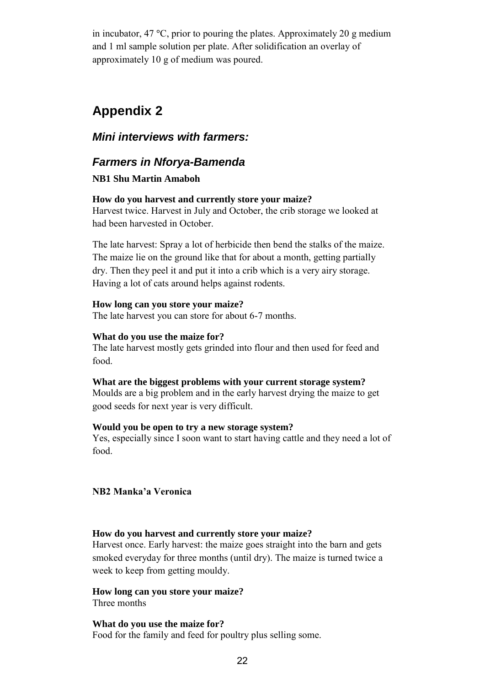in incubator, 47  $^{\circ}$ C, prior to pouring the plates. Approximately 20 g medium and 1 ml sample solution per plate. After solidification an overlay of approximately 10 g of medium was poured.

## <span id="page-23-0"></span>**Appendix 2**

## <span id="page-23-1"></span>*Mini interviews with farmers:*

## <span id="page-23-2"></span>*Farmers in Nforya-Bamenda*

#### **NB1 Shu Martin Amaboh**

#### **How do you harvest and currently store your maize?**

Harvest twice. Harvest in July and October, the crib storage we looked at had been harvested in October.

The late harvest: Spray a lot of herbicide then bend the stalks of the maize. The maize lie on the ground like that for about a month, getting partially dry. Then they peel it and put it into a crib which is a very airy storage. Having a lot of cats around helps against rodents.

#### **How long can you store your maize?**

The late harvest you can store for about 6-7 months.

#### **What do you use the maize for?**

The late harvest mostly gets grinded into flour and then used for feed and food.

### **What are the biggest problems with your current storage system?**

Moulds are a big problem and in the early harvest drying the maize to get good seeds for next year is very difficult.

#### **Would you be open to try a new storage system?**

Yes, especially since I soon want to start having cattle and they need a lot of food.

#### **NB2 Manka'a Veronica**

### **How do you harvest and currently store your maize?**

Harvest once. Early harvest: the maize goes straight into the barn and gets smoked everyday for three months (until dry). The maize is turned twice a week to keep from getting mouldy.

## **How long can you store your maize?**

Three months

**What do you use the maize for?**  Food for the family and feed for poultry plus selling some.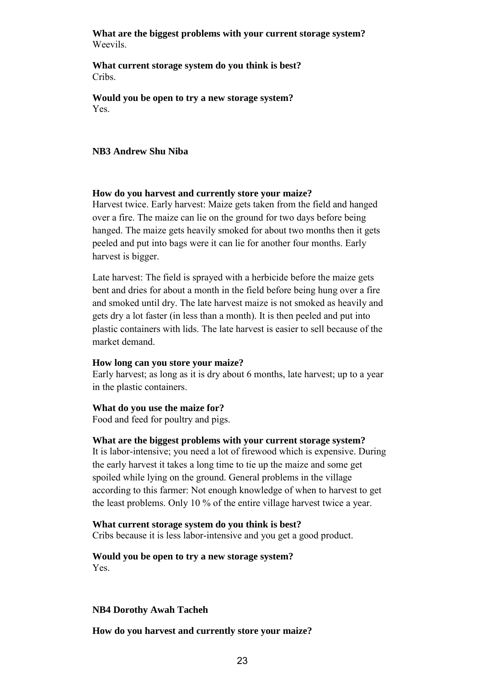#### **What are the biggest problems with your current storage system?**  Weevils.

**What current storage system do you think is best?**  Cribs.

**Would you be open to try a new storage system?**  Yes.

#### **NB3 Andrew Shu Niba**

#### **How do you harvest and currently store your maize?**

Harvest twice. Early harvest: Maize gets taken from the field and hanged over a fire. The maize can lie on the ground for two days before being hanged. The maize gets heavily smoked for about two months then it gets peeled and put into bags were it can lie for another four months. Early harvest is bigger.

Late harvest: The field is sprayed with a herbicide before the maize gets bent and dries for about a month in the field before being hung over a fire and smoked until dry. The late harvest maize is not smoked as heavily and gets dry a lot faster (in less than a month). It is then peeled and put into plastic containers with lids. The late harvest is easier to sell because of the market demand.

#### **How long can you store your maize?**

Early harvest; as long as it is dry about 6 months, late harvest; up to a year in the plastic containers.

#### **What do you use the maize for?**

Food and feed for poultry and pigs.

#### **What are the biggest problems with your current storage system?**

It is labor-intensive; you need a lot of firewood which is expensive. During the early harvest it takes a long time to tie up the maize and some get spoiled while lying on the ground. General problems in the village according to this farmer: Not enough knowledge of when to harvest to get the least problems. Only 10 % of the entire village harvest twice a year.

#### **What current storage system do you think is best?**

Cribs because it is less labor-intensive and you get a good product.

#### **Would you be open to try a new storage system?**  Yes.

#### **NB4 Dorothy Awah Tacheh**

**How do you harvest and currently store your maize?**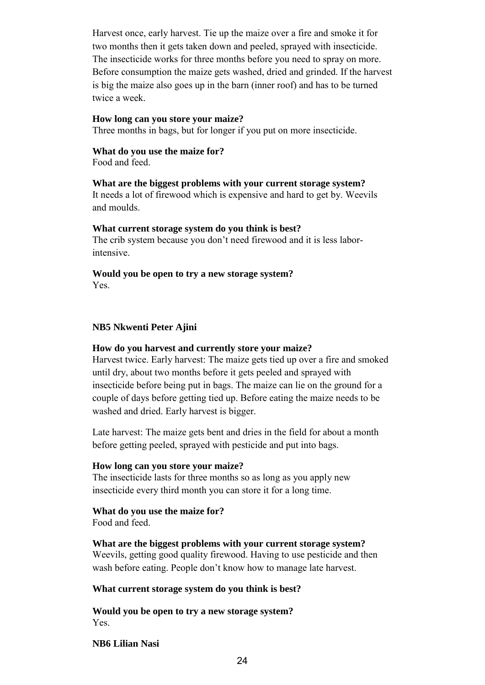Harvest once, early harvest. Tie up the maize over a fire and smoke it for two months then it gets taken down and peeled, sprayed with insecticide. The insecticide works for three months before you need to spray on more. Before consumption the maize gets washed, dried and grinded. If the harvest is big the maize also goes up in the barn (inner roof) and has to be turned twice a week.

#### **How long can you store your maize?**

Three months in bags, but for longer if you put on more insecticide.

#### **What do you use the maize for?**

Food and feed.

### **What are the biggest problems with your current storage system?**

It needs a lot of firewood which is expensive and hard to get by. Weevils and moulds.

#### **What current storage system do you think is best?**

The crib system because you don't need firewood and it is less laborintensive.

# **Would you be open to try a new storage system?**

Yes.

#### **NB5 Nkwenti Peter Ajini**

#### **How do you harvest and currently store your maize?**

Harvest twice. Early harvest: The maize gets tied up over a fire and smoked until dry, about two months before it gets peeled and sprayed with insecticide before being put in bags. The maize can lie on the ground for a couple of days before getting tied up. Before eating the maize needs to be washed and dried. Early harvest is bigger.

Late harvest: The maize gets bent and dries in the field for about a month before getting peeled, sprayed with pesticide and put into bags.

#### **How long can you store your maize?**

The insecticide lasts for three months so as long as you apply new insecticide every third month you can store it for a long time.

### **What do you use the maize for?**

Food and feed.

#### **What are the biggest problems with your current storage system?**

Weevils, getting good quality firewood. Having to use pesticide and then wash before eating. People don't know how to manage late harvest.

#### **What current storage system do you think is best?**

**Would you be open to try a new storage system?**  Yes.

#### **NB6 Lilian Nasi**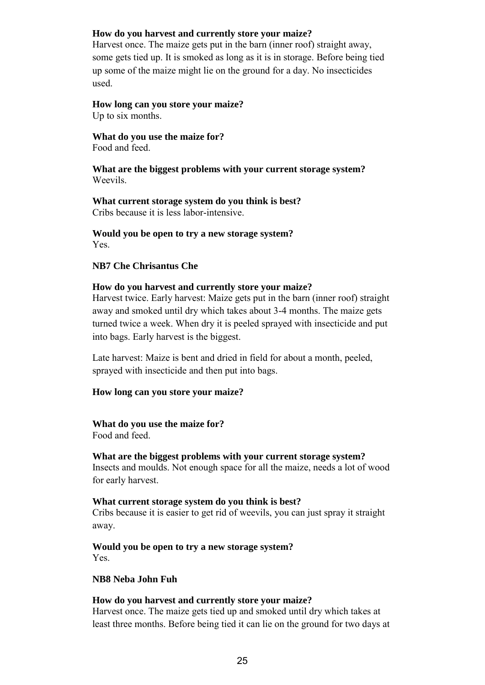### **How do you harvest and currently store your maize?**

Harvest once. The maize gets put in the barn (inner roof) straight away, some gets tied up. It is smoked as long as it is in storage. Before being tied up some of the maize might lie on the ground for a day. No insecticides used.

## **How long can you store your maize?**

Up to six months.

**What do you use the maize for?**  Food and feed.

**What are the biggest problems with your current storage system?**  Weevils.

**What current storage system do you think is best?**  Cribs because it is less labor-intensive.

**Would you be open to try a new storage system?**  Yes.

### **NB7 Che Chrisantus Che**

#### **How do you harvest and currently store your maize?**

Harvest twice. Early harvest: Maize gets put in the barn (inner roof) straight away and smoked until dry which takes about 3-4 months. The maize gets turned twice a week. When dry it is peeled sprayed with insecticide and put into bags. Early harvest is the biggest.

Late harvest: Maize is bent and dried in field for about a month, peeled, sprayed with insecticide and then put into bags.

#### **How long can you store your maize?**

#### **What do you use the maize for?**

Food and feed.

#### **What are the biggest problems with your current storage system?**

Insects and moulds. Not enough space for all the maize, needs a lot of wood for early harvest.

#### **What current storage system do you think is best?**

Cribs because it is easier to get rid of weevils, you can just spray it straight away.

**Would you be open to try a new storage system?**  Yes.

#### **NB8 Neba John Fuh**

#### **How do you harvest and currently store your maize?**

Harvest once. The maize gets tied up and smoked until dry which takes at least three months. Before being tied it can lie on the ground for two days at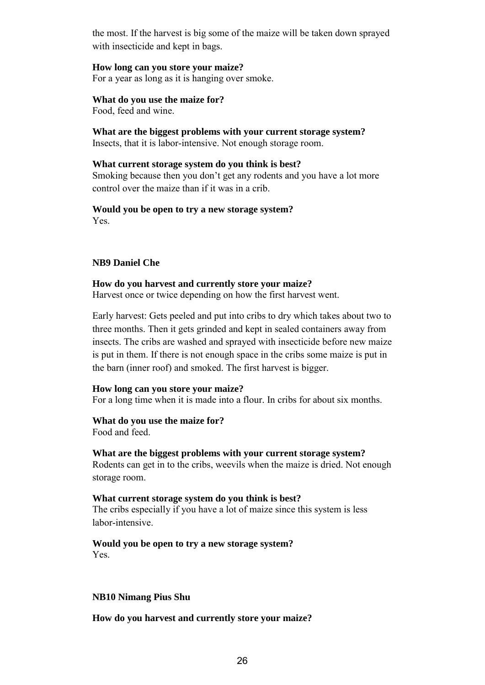the most. If the harvest is big some of the maize will be taken down sprayed with insecticide and kept in bags.

#### **How long can you store your maize?**

For a year as long as it is hanging over smoke.

#### **What do you use the maize for?**

Food, feed and wine.

**What are the biggest problems with your current storage system?**  Insects, that it is labor-intensive. Not enough storage room.

#### **What current storage system do you think is best?**

Smoking because then you don't get any rodents and you have a lot more control over the maize than if it was in a crib.

#### **Would you be open to try a new storage system?**  Yes.

#### **NB9 Daniel Che**

#### **How do you harvest and currently store your maize?**

Harvest once or twice depending on how the first harvest went.

Early harvest: Gets peeled and put into cribs to dry which takes about two to three months. Then it gets grinded and kept in sealed containers away from insects. The cribs are washed and sprayed with insecticide before new maize is put in them. If there is not enough space in the cribs some maize is put in the barn (inner roof) and smoked. The first harvest is bigger.

#### **How long can you store your maize?**

For a long time when it is made into a flour. In cribs for about six months.

### **What do you use the maize for?**

Food and feed.

#### **What are the biggest problems with your current storage system?**

Rodents can get in to the cribs, weevils when the maize is dried. Not enough storage room.

#### **What current storage system do you think is best?**

The cribs especially if you have a lot of maize since this system is less labor-intensive.

#### **Would you be open to try a new storage system?**  Yes.

#### **NB10 Nimang Pius Shu**

#### **How do you harvest and currently store your maize?**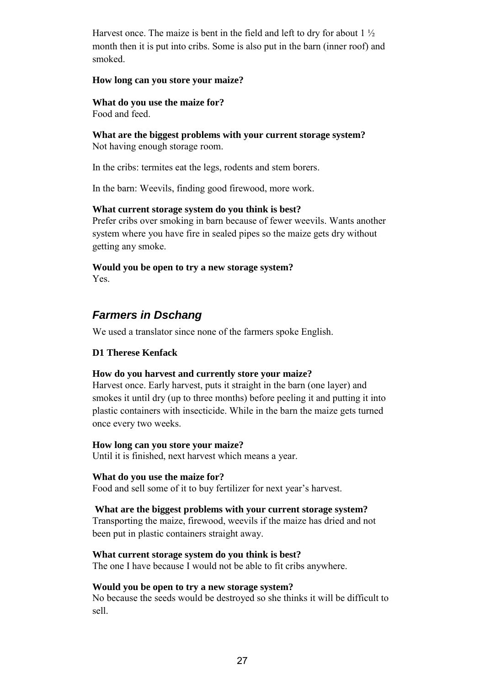Harvest once. The maize is bent in the field and left to dry for about  $1\frac{1}{2}$ month then it is put into cribs. Some is also put in the barn (inner roof) and smoked.

#### **How long can you store your maize?**

**What do you use the maize for?**  Food and feed.

**What are the biggest problems with your current storage system?**  Not having enough storage room.

In the cribs: termites eat the legs, rodents and stem borers.

In the barn: Weevils, finding good firewood, more work.

#### **What current storage system do you think is best?**

Prefer cribs over smoking in barn because of fewer weevils. Wants another system where you have fire in sealed pipes so the maize gets dry without getting any smoke.

**Would you be open to try a new storage system?**  Yes.

## <span id="page-28-0"></span>*Farmers in Dschang*

We used a translator since none of the farmers spoke English.

### **D1 Therese Kenfack**

#### **How do you harvest and currently store your maize?**

Harvest once. Early harvest, puts it straight in the barn (one layer) and smokes it until dry (up to three months) before peeling it and putting it into plastic containers with insecticide. While in the barn the maize gets turned once every two weeks.

#### **How long can you store your maize?**

Until it is finished, next harvest which means a year.

#### **What do you use the maize for?**

Food and sell some of it to buy fertilizer for next year's harvest.

#### **What are the biggest problems with your current storage system?**

Transporting the maize, firewood, weevils if the maize has dried and not been put in plastic containers straight away.

#### **What current storage system do you think is best?**

The one I have because I would not be able to fit cribs anywhere.

#### **Would you be open to try a new storage system?**

No because the seeds would be destroyed so she thinks it will be difficult to sell.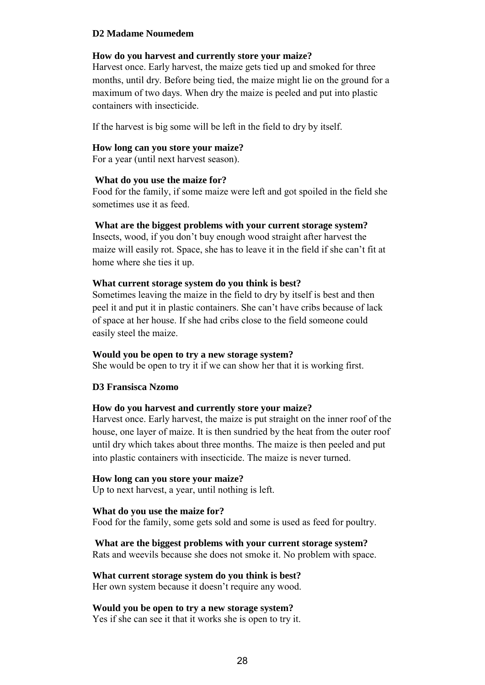#### **D2 Madame Noumedem**

#### **How do you harvest and currently store your maize?**

Harvest once. Early harvest, the maize gets tied up and smoked for three months, until dry. Before being tied, the maize might lie on the ground for a maximum of two days. When dry the maize is peeled and put into plastic containers with insecticide.

If the harvest is big some will be left in the field to dry by itself.

#### **How long can you store your maize?**

For a year (until next harvest season).

#### **What do you use the maize for?**

Food for the family, if some maize were left and got spoiled in the field she sometimes use it as feed.

#### **What are the biggest problems with your current storage system?**

Insects, wood, if you don't buy enough wood straight after harvest the maize will easily rot. Space, she has to leave it in the field if she can't fit at home where she ties it up.

#### **What current storage system do you think is best?**

Sometimes leaving the maize in the field to dry by itself is best and then peel it and put it in plastic containers. She can't have cribs because of lack of space at her house. If she had cribs close to the field someone could easily steel the maize.

#### **Would you be open to try a new storage system?**

She would be open to try it if we can show her that it is working first.

#### **D3 Fransisca Nzomo**

#### **How do you harvest and currently store your maize?**

Harvest once. Early harvest, the maize is put straight on the inner roof of the house, one layer of maize. It is then sundried by the heat from the outer roof until dry which takes about three months. The maize is then peeled and put into plastic containers with insecticide. The maize is never turned.

#### **How long can you store your maize?**

Up to next harvest, a year, until nothing is left.

#### **What do you use the maize for?**

Food for the family, some gets sold and some is used as feed for poultry.

#### **What are the biggest problems with your current storage system?**

Rats and weevils because she does not smoke it. No problem with space.

#### **What current storage system do you think is best?**

Her own system because it doesn't require any wood.

## **Would you be open to try a new storage system?**

Yes if she can see it that it works she is open to try it.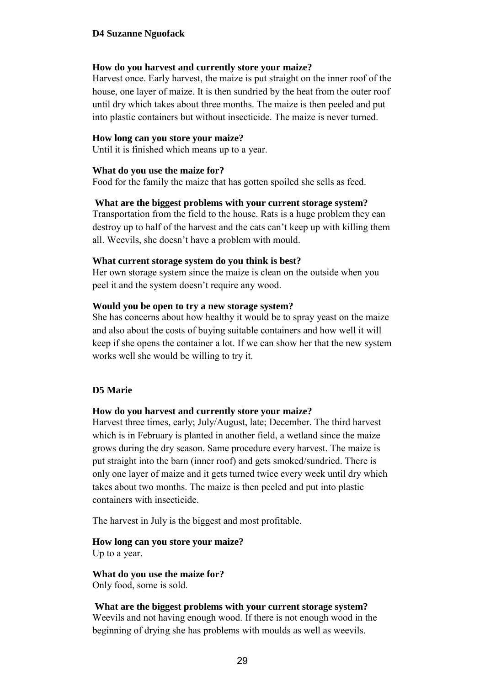#### **D4 Suzanne Nguofack**

#### **How do you harvest and currently store your maize?**

Harvest once. Early harvest, the maize is put straight on the inner roof of the house, one layer of maize. It is then sundried by the heat from the outer roof until dry which takes about three months. The maize is then peeled and put into plastic containers but without insecticide. The maize is never turned.

#### **How long can you store your maize?**

Until it is finished which means up to a year.

#### **What do you use the maize for?**

Food for the family the maize that has gotten spoiled she sells as feed.

#### **What are the biggest problems with your current storage system?**

Transportation from the field to the house. Rats is a huge problem they can destroy up to half of the harvest and the cats can't keep up with killing them all. Weevils, she doesn't have a problem with mould.

#### **What current storage system do you think is best?**

Her own storage system since the maize is clean on the outside when you peel it and the system doesn't require any wood.

#### **Would you be open to try a new storage system?**

She has concerns about how healthy it would be to spray yeast on the maize and also about the costs of buying suitable containers and how well it will keep if she opens the container a lot. If we can show her that the new system works well she would be willing to try it.

#### **D5 Marie**

#### **How do you harvest and currently store your maize?**

Harvest three times, early; July/August, late; December. The third harvest which is in February is planted in another field, a wetland since the maize grows during the dry season. Same procedure every harvest. The maize is put straight into the barn (inner roof) and gets smoked/sundried. There is only one layer of maize and it gets turned twice every week until dry which takes about two months. The maize is then peeled and put into plastic containers with insecticide.

The harvest in July is the biggest and most profitable.

**How long can you store your maize?**  Up to a year.

**What do you use the maize for?**  Only food, some is sold.

#### **What are the biggest problems with your current storage system?**

Weevils and not having enough wood. If there is not enough wood in the beginning of drying she has problems with moulds as well as weevils.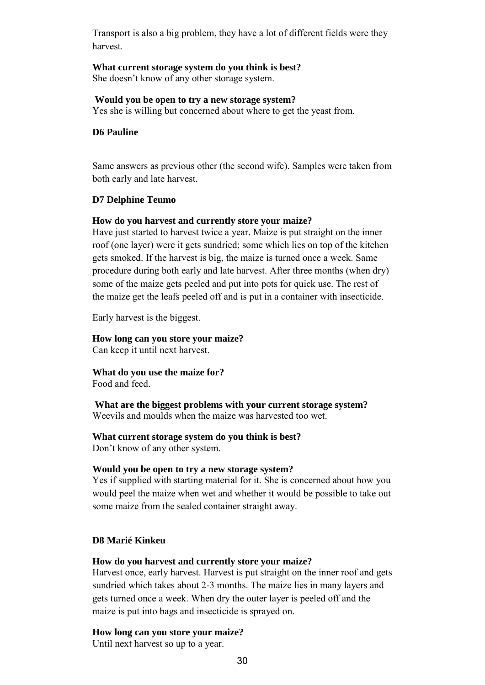Transport is also a big problem, they have a lot of different fields were they harvest.

## **What current storage system do you think is best?**

She doesn't know of any other storage system.

#### **Would you be open to try a new storage system?**

Yes she is willing but concerned about where to get the yeast from.

#### **D6 Pauline**

Same answers as previous other (the second wife). Samples were taken from both early and late harvest.

#### **D7 Delphine Teumo**

#### **How do you harvest and currently store your maize?**

Have just started to harvest twice a year. Maize is put straight on the inner roof (one layer) were it gets sundried; some which lies on top of the kitchen gets smoked. If the harvest is big, the maize is turned once a week. Same procedure during both early and late harvest. After three months (when dry) some of the maize gets peeled and put into pots for quick use. The rest of the maize get the leafs peeled off and is put in a container with insecticide.

Early harvest is the biggest.

## **How long can you store your maize?**

Can keep it until next harvest.

**What do you use the maize for?**  Food and feed.

**What are the biggest problems with your current storage system?**  Weevils and moulds when the maize was harvested too wet.

#### **What current storage system do you think is best?**

Don't know of any other system.

#### **Would you be open to try a new storage system?**

Yes if supplied with starting material for it. She is concerned about how you would peel the maize when wet and whether it would be possible to take out some maize from the sealed container straight away.

#### **D8 Marié Kinkeu**

#### **How do you harvest and currently store your maize?**

Harvest once, early harvest. Harvest is put straight on the inner roof and gets sundried which takes about 2-3 months. The maize lies in many layers and gets turned once a week. When dry the outer layer is peeled off and the maize is put into bags and insecticide is sprayed on.

### **How long can you store your maize?**

Until next harvest so up to a year.